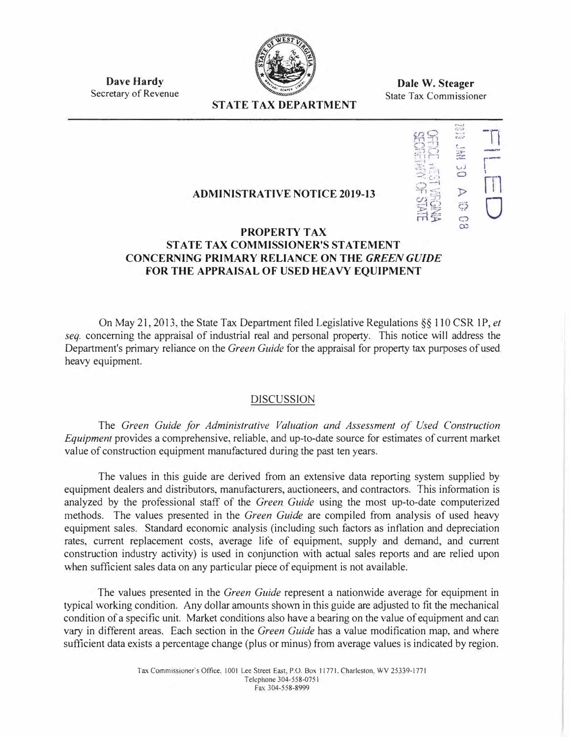

**Dave Hardy**  Secretary of Revenue

**Dale W. Steager**  State Tax Commissioner

## **STATE TAX DEPARTMENT**

#### $\mathbb{R}$ 1.:::1  $c_{\rm dis}$ *t\_ \_\_ �1*   $\frac{1}{2}$  $\triangleright$  $\ddot{c}$  $\overline{C}$  $\infty$ -nr-I  $\Box$ 0

# **ADMINISTRATIVE NOTICE 2019-13**

## **PROPERTY TAX STATE TAX COMMISSIONER'S STATEMENT CONCERNING PRIMARY RELIANCE ON THE** *GREEN GUIDE*  **FOR THE APPRAISAL OF USED HEAVY EQUIPMENT**

On May 21, 2013, the State Tax Department filed Legislative Regulations§§ 110 CSR IP, *et seq.* concerning the appraisal of industrial real and personal property. This notice will address the Department's primary reliance on the *Green Guide* for the appraisal for property tax purposes of used heavy equipment.

## DISCUSSION

The *Green Guide for Administrative Valuation and Assessment of Used Construction Equipment* provides a comprehensive, reliable, and up-to-date source for estimates of current market value of construction equipment manufactured during the past ten years.

The values in this guide are derived from an extensive data reporting system supplied by equipment dealers and distributors, manufacturers, auctioneers, and contractors. This information is analyzed by the professional staff of the *Green Guide* using the most up-to-date computerized methods. The values presented in the *Green Guide* are compiled from analysis of used heavy equipment sales. Standard economic analysis (including such factors as inflation and depreciation rates, current replacement costs, average life of equipment, supply and demand, and current construction industry activity) is used in conjunction with actual sales reports and are relied upon when sufficient sales data on any particular piece of equipment is not available.

The values presented in the *Green Guide* represent a nationwide average for equipment in typical working condition. Any dollar amounts shovm in this guide are adjusted to fit the mechanical condition of a specific unit. Market conditions also have a bearing on the value of equipment and can vary in different areas. Each section in the *Green Guide* has a value modification map, and where sufficient data exists a percentage change (plus or minus) from average values is indicated by region.